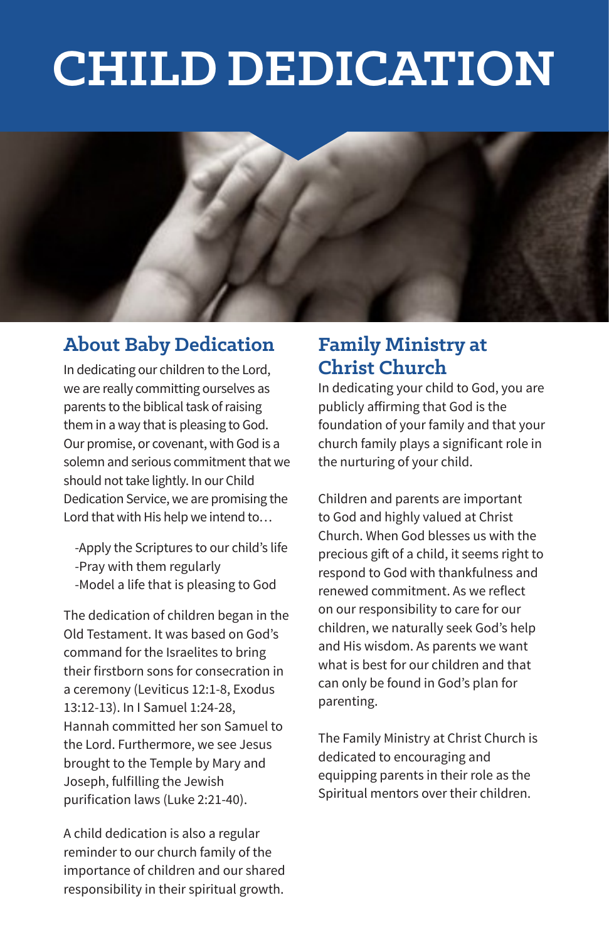# **CHILD DEDICATION**



#### **About Baby Dedication**

In dedicating our children to the Lord, we are really committing ourselves as parents to the biblical task of raising them in a way that is pleasing to God. Our promise, or covenant, with God is a solemn and serious commitment that we should not take lightly. In our Child Dedication Service, we are promising the Lord that with His help we intend to…

 -Apply the Scriptures to our child's life -Pray with them regularly -Model a life that is pleasing to God

The dedication of children began in the Old Testament. It was based on God's command for the Israelites to bring their firstborn sons for consecration in a ceremony (Leviticus 12:1-8, Exodus 13:12-13). In I Samuel 1:24-28, Hannah committed her son Samuel to the Lord. Furthermore, we see Jesus brought to the Temple by Mary and Joseph, fulfilling the Jewish purification laws (Luke 2:21-40).

A child dedication is also a regular reminder to our church family of the importance of children and our shared responsibility in their spiritual growth.

#### **Family Ministry at Christ Church**

In dedicating your child to God, you are publicly affirming that God is the foundation of your family and that your church family plays a significant role in the nurturing of your child.

Children and parents are important to God and highly valued at Christ Church. When God blesses us with the precious gift of a child, it seems right to respond to God with thankfulness and renewed commitment. As we reflect on our responsibility to care for our children, we naturally seek God's help and His wisdom. As parents we want what is best for our children and that can only be found in God's plan for parenting.

The Family Ministry at Christ Church is dedicated to encouraging and equipping parents in their role as the Spiritual mentors over their children.